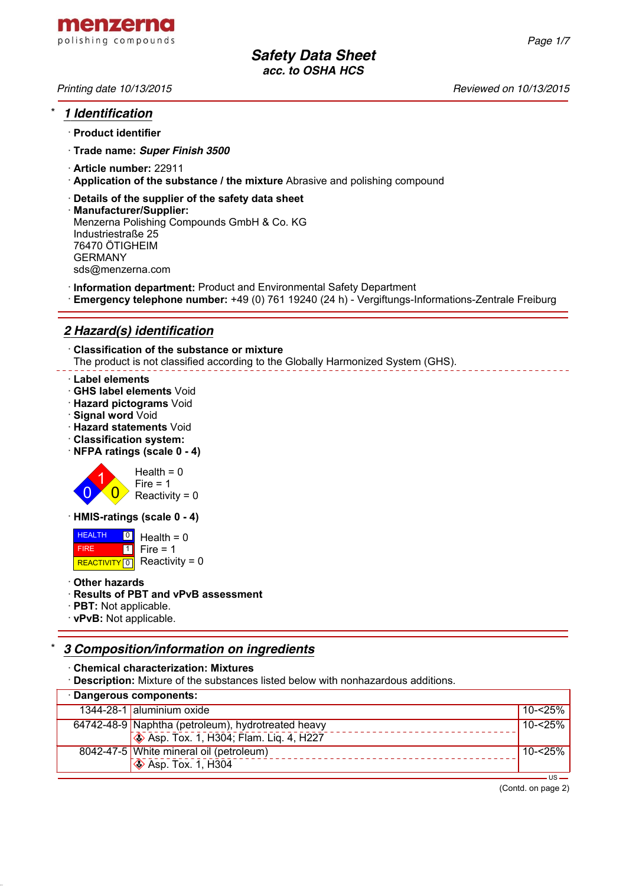

# \* *1 Identification*

- · **Product identifier**
- · **Trade name:** *Super Finish 3500*
- · **Article number:** 22911
- · **Application of the substance / the mixture** Abrasive and polishing compound
- · **Details of the supplier of the safety data sheet**
- · **Manufacturer/Supplier:** Menzerna Polishing Compounds GmbH & Co. KG Industriestraße 25 76470 ÖTIGHEIM GERMANY sds@menzerna.com
- · **Information department:** Product and Environmental Safety Department
- · **Emergency telephone number:** +49 (0) 761 19240 (24 h) Vergiftungs-Informations-Zentrale Freiburg

# *2 Hazard(s) identification*

· **Classification of the substance or mixture** The product is not classified according to the Globally Harmonized System (GHS).

### · **Label elements**

- · **GHS label elements** Void
- · **Hazard pictograms** Void
- · **Signal word** Void
- · **Hazard statements** Void
- · **Classification system:**
- · **NFPA ratings (scale 0 4)**



· **HMIS-ratings (scale 0 - 4)**

 HEALTH FIRE REACTIVITY  $\boxed{0}$  Reactivity = 0 <mark>의</mark> Health = 0  $\overline{1}$  $Fire = 1$ 

· **Other hazards**

## · **Results of PBT and vPvB assessment**

- · **PBT:** Not applicable.
- · **vPvB:** Not applicable.

# \* *3 Composition/information on ingredients*

· **Chemical characterization: Mixtures**

· **Description:** Mixture of the substances listed below with nonhazardous additions.

| · Dangerous components: |                                                           |         |
|-------------------------|-----------------------------------------------------------|---------|
|                         | 1344-28-1 aluminium oxide                                 | 10-<25% |
|                         | 64742-48-9 Naphtha (petroleum), hydrotreated heavy        | 10-<25% |
|                         | <b>Example 2014</b> Asp. Tox. 1, H304; Flam. Lig. 4, H227 |         |
|                         | 8042-47-5 White mineral oil (petroleum)                   | 10-<25% |
|                         | $\sqrt{\phantom{a}}$ Asp. Tox. 1, H304                    |         |
|                         |                                                           |         |

(Contd. on page 2)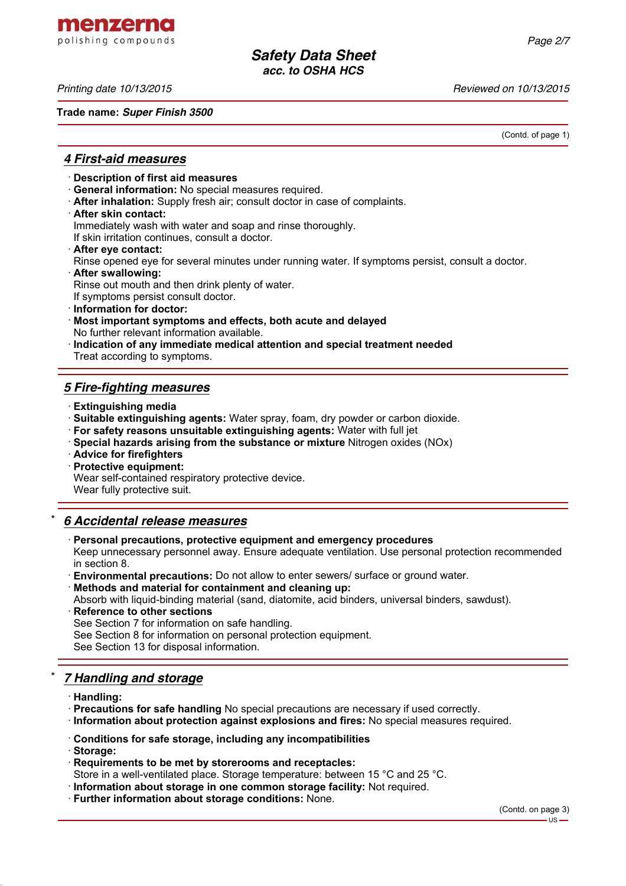menzerna polishing compounds

**Trade name:** *Super Finish 3500*

*Printing date 10/13/2015 Reviewed on 10/13/2015*

(Contd. of page 1)

## *4 First-aid measures*

- · **Description of first aid measures**
- · **General information:** No special measures required.
- · **After inhalation:** Supply fresh air; consult doctor in case of complaints.
- · **After skin contact:**

Immediately wash with water and soap and rinse thoroughly.

If skin irritation continues, consult a doctor.

- · **After eye contact:**
- Rinse opened eye for several minutes under running water. If symptoms persist, consult a doctor.
- · **After swallowing:**

Rinse out mouth and then drink plenty of water.

If symptoms persist consult doctor.

- · **Information for doctor:**
- · **Most important symptoms and effects, both acute and delayed** No further relevant information available.
- · **Indication of any immediate medical attention and special treatment needed** Treat according to symptoms.

# *5 Fire-fighting measures*

- · **Extinguishing media**
- · **Suitable extinguishing agents:** Water spray, foam, dry powder or carbon dioxide.
- · **For safety reasons unsuitable extinguishing agents:** Water with full jet
- · **Special hazards arising from the substance or mixture** Nitrogen oxides (NOx)
- · **Advice for firefighters**
- · **Protective equipment:**

Wear self-contained respiratory protective device.

Wear fully protective suit.

# \* *6 Accidental release measures*

· **Personal precautions, protective equipment and emergency procedures**

Keep unnecessary personnel away. Ensure adequate ventilation. Use personal protection recommended in section 8.

· **Environmental precautions:** Do not allow to enter sewers/ surface or ground water.

· **Methods and material for containment and cleaning up:**

Absorb with liquid-binding material (sand, diatomite, acid binders, universal binders, sawdust).

**Reference to other sections** See Section 7 for information on safe handling. See Section 8 for information on personal protection equipment. See Section 13 for disposal information.

# \* *7 Handling and storage*

- · **Handling:**
- · **Precautions for safe handling** No special precautions are necessary if used correctly.
- · **Information about protection against explosions and fires:** No special measures required.
- · **Conditions for safe storage, including any incompatibilities**

· **Storage:**

- · **Requirements to be met by storerooms and receptacles:**
- Store in a well-ventilated place. Storage temperature: between 15 °C and 25 °C.
- · **Information about storage in one common storage facility:** Not required.
- · **Further information about storage conditions:** None.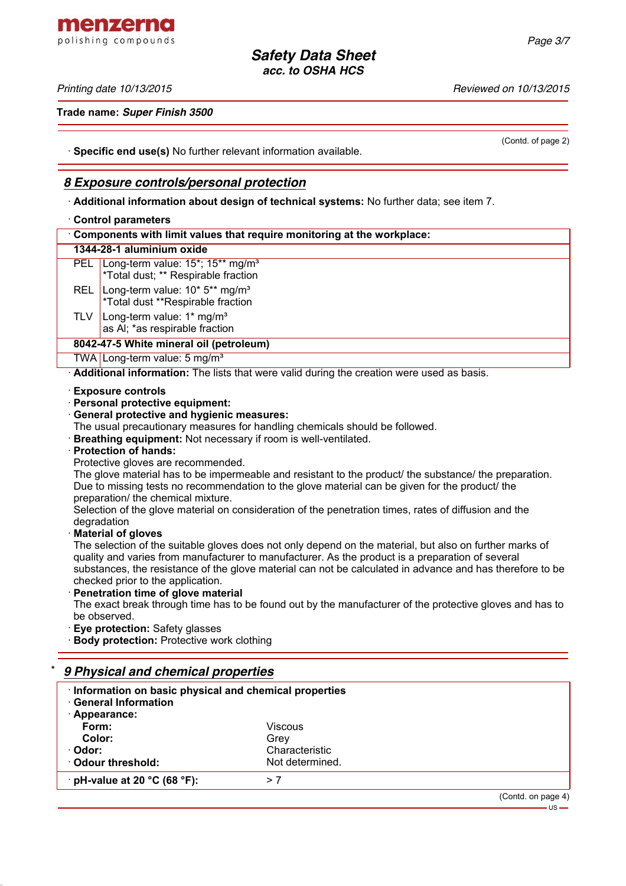### *Printing date 10/13/2015 Reviewed on 10/13/2015*

**Trade name:** *Super Finish 3500*

(Contd. of page 2)

· **Specific end use(s)** No further relevant information available.

## *8 Exposure controls/personal protection*

· **Additional information about design of technical systems:** No further data; see item 7.

### · **Control parameters**

|                                                                                           | <b>UUIIIUI PALAIIIUUI J</b>                                                                                      |  |  |
|-------------------------------------------------------------------------------------------|------------------------------------------------------------------------------------------------------------------|--|--|
|                                                                                           | Components with limit values that require monitoring at the workplace:                                           |  |  |
|                                                                                           | 1344-28-1 aluminium oxide                                                                                        |  |  |
|                                                                                           | PEL Long-term value: 15 <sup>*</sup> ; 15 <sup>**</sup> mg/m <sup>3</sup><br>*Total dust; ** Respirable fraction |  |  |
| <b>REL</b>                                                                                | Long-term value: 10* 5** mg/m <sup>3</sup><br>*Total dust **Respirable fraction                                  |  |  |
| <b>TLV</b>                                                                                | Long-term value: $1*$ mg/m <sup>3</sup><br>as AI; *as respirable fraction                                        |  |  |
|                                                                                           | 8042-47-5 White mineral oil (petroleum)                                                                          |  |  |
|                                                                                           | TWA Long-term value: $5 \text{ mg/m}^3$                                                                          |  |  |
| Additional information: The lists that were valid during the creation were used as basis. |                                                                                                                  |  |  |
|                                                                                           | <b>Exposure controls</b>                                                                                         |  |  |
|                                                                                           | · Personal protective equipment:                                                                                 |  |  |
|                                                                                           | · General protective and hygienic measures:                                                                      |  |  |
|                                                                                           | The usual precautionary measures for handling chemicals should be followed.                                      |  |  |

· **Breathing equipment:** Not necessary if room is well-ventilated.

## · **Protection of hands:**

Protective gloves are recommended.

The glove material has to be impermeable and resistant to the product/ the substance/ the preparation. Due to missing tests no recommendation to the glove material can be given for the product/ the preparation/ the chemical mixture.

Selection of the glove material on consideration of the penetration times, rates of diffusion and the degradation

### · **Material of gloves**

The selection of the suitable gloves does not only depend on the material, but also on further marks of quality and varies from manufacturer to manufacturer. As the product is a preparation of several substances, the resistance of the glove material can not be calculated in advance and has therefore to be checked prior to the application.

· **Penetration time of glove material**

The exact break through time has to be found out by the manufacturer of the protective gloves and has to be observed.

· **Eye protection:** Safety glasses

· **Body protection:** Protective work clothing

| 9 Physical and chemical properties<br>Information on basic physical and chemical properties<br><b>General Information</b> |                 |                    |
|---------------------------------------------------------------------------------------------------------------------------|-----------------|--------------------|
| Appearance:                                                                                                               |                 |                    |
| Form:                                                                                                                     | Viscous         |                    |
| Color:                                                                                                                    | Grev            |                    |
| · Odor:                                                                                                                   | Characteristic  |                    |
| Odour threshold:                                                                                                          | Not determined. |                    |
| $\cdot$ pH-value at 20 °C (68 °F):                                                                                        | > 7             |                    |
|                                                                                                                           |                 | (Contd. on page 4) |



 $\overline{US}$  –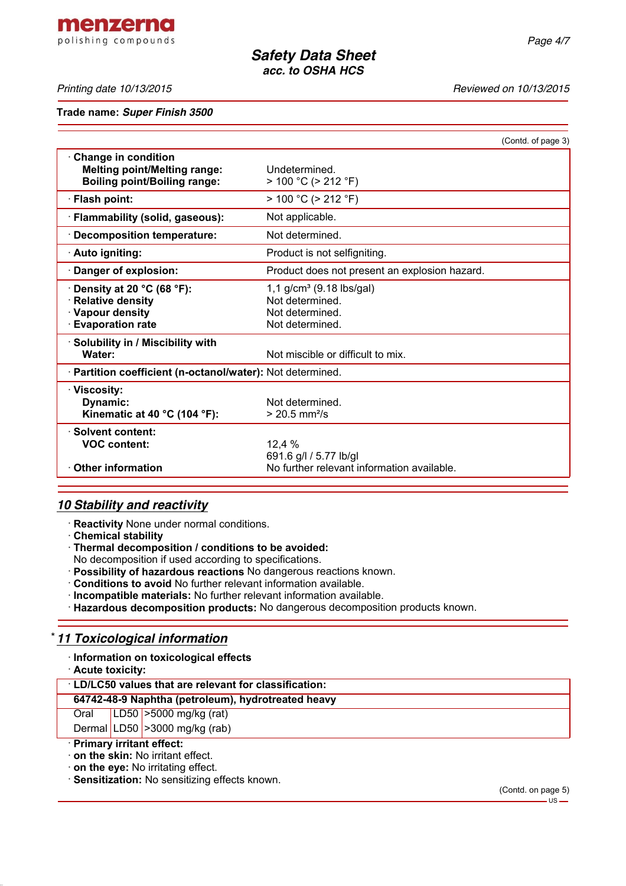*Printing date 10/13/2015 Reviewed on 10/13/2015*

**Trade name:** *Super Finish 3500*

|                                                                                                          |                                                                                      | (Contd. of page 3) |  |
|----------------------------------------------------------------------------------------------------------|--------------------------------------------------------------------------------------|--------------------|--|
| <b>Change in condition</b><br><b>Melting point/Melting range:</b><br><b>Boiling point/Boiling range:</b> | Undetermined.<br>$> 100 °C$ ( $> 212 °F$ )                                           |                    |  |
| · Flash point:                                                                                           | $> 100 °C$ ( $> 212 °F$ )                                                            |                    |  |
| · Flammability (solid, gaseous):                                                                         | Not applicable.                                                                      |                    |  |
| · Decomposition temperature:                                                                             | Not determined.                                                                      |                    |  |
| · Auto igniting:                                                                                         | Product is not selfigniting.                                                         |                    |  |
| Danger of explosion:                                                                                     | Product does not present an explosion hazard.                                        |                    |  |
| $\cdot$ Density at 20 °C (68 °F):<br>· Relative density<br>· Vapour density<br><b>Evaporation rate</b>   | 1,1 $g/cm^3$ (9.18 lbs/gal)<br>Not determined.<br>Not determined.<br>Not determined. |                    |  |
| · Solubility in / Miscibility with<br>Water:                                                             | Not miscible or difficult to mix.                                                    |                    |  |
| · Partition coefficient (n-octanol/water): Not determined.                                               |                                                                                      |                    |  |
| · Viscositv:<br>Dynamic:<br>Kinematic at 40 $^{\circ}$ C (104 $^{\circ}$ F):                             | Not determined.<br>$> 20.5$ mm <sup>2</sup> /s                                       |                    |  |
| · Solvent content:<br><b>VOC content:</b><br><b>Other information</b>                                    | 12,4 %<br>691.6 g/l / 5.77 lb/gl<br>No further relevant information available.       |                    |  |
|                                                                                                          |                                                                                      |                    |  |

# *10 Stability and reactivity*

· **Reactivity** None under normal conditions.

· **Chemical stability**

· **Thermal decomposition / conditions to be avoided:**

No decomposition if used according to specifications.

- · **Possibility of hazardous reactions** No dangerous reactions known.
- · **Conditions to avoid** No further relevant information available.
- · **Incompatible materials:** No further relevant information available.
- · **Hazardous decomposition products:** No dangerous decomposition products known.

# \* *11 Toxicological information*

· **Information on toxicological effects**

· **Acute toxicity:**

## · **LD/LC50 values that are relevant for classification:**

## **64742-48-9 Naphtha (petroleum), hydrotreated heavy**

Oral LD50 >5000 mg/kg (rat)

Dermal LD50  $\geq$ 3000 mg/kg (rab)

# · **Primary irritant effect:**

· **on the skin:** No irritant effect.

· **on the eye:** No irritating effect.

· **Sensitization:** No sensitizing effects known.

# menzerna polishing compounds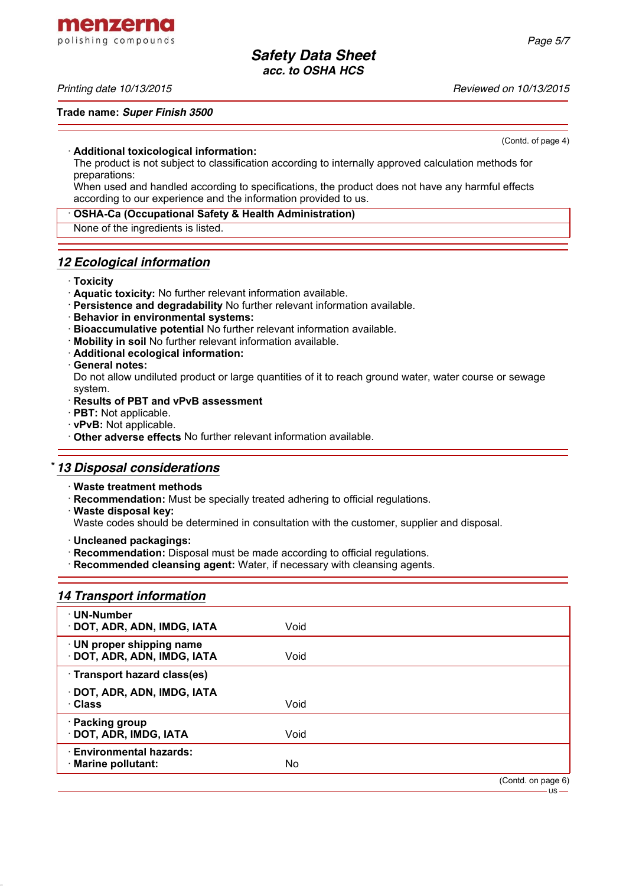menzerna polishing compounds

### *Printing date 10/13/2015 Reviewed on 10/13/2015*

#### **Trade name:** *Super Finish 3500*

(Contd. of page 4)

### · **Additional toxicological information:**

The product is not subject to classification according to internally approved calculation methods for preparations:

When used and handled according to specifications, the product does not have any harmful effects according to our experience and the information provided to us.

### · **OSHA-Ca (Occupational Safety & Health Administration)**

None of the ingredients is listed.

## *12 Ecological information*

### · **Toxicity**

- · **Aquatic toxicity:** No further relevant information available.
- · **Persistence and degradability** No further relevant information available.
- · **Behavior in environmental systems:**
- · **Bioaccumulative potential** No further relevant information available.
- · **Mobility in soil** No further relevant information available.
- · **Additional ecological information:**
- · **General notes:**

Do not allow undiluted product or large quantities of it to reach ground water, water course or sewage system.

### · **Results of PBT and vPvB assessment**

- · **PBT:** Not applicable.
- · **vPvB:** Not applicable.
- · **Other adverse effects** No further relevant information available.

## \* *13 Disposal considerations*

- · **Waste treatment methods**
- · **Recommendation:** Must be specially treated adhering to official regulations.
- · **Waste disposal key:**

Waste codes should be determined in consultation with the customer, supplier and disposal.

- · **Uncleaned packagings:**
- · **Recommendation:** Disposal must be made according to official regulations.
- · **Recommended cleansing agent:** Water, if necessary with cleansing agents.

## *14 Transport information*

| · UN-Number<br>· DOT, ADR, ADN, IMDG, IATA             | Void |                    |
|--------------------------------------------------------|------|--------------------|
| · UN proper shipping name<br>DOT, ADR, ADN, IMDG, IATA | Void |                    |
| · Transport hazard class(es)                           |      |                    |
| DOT, ADR, ADN, IMDG, IATA<br>· Class                   | Void |                    |
| · Packing group<br>· DOT, ADR, IMDG, IATA              | Void |                    |
| · Environmental hazards:<br>· Marine pollutant:        | No   |                    |
|                                                        |      | (Contd. on page 6) |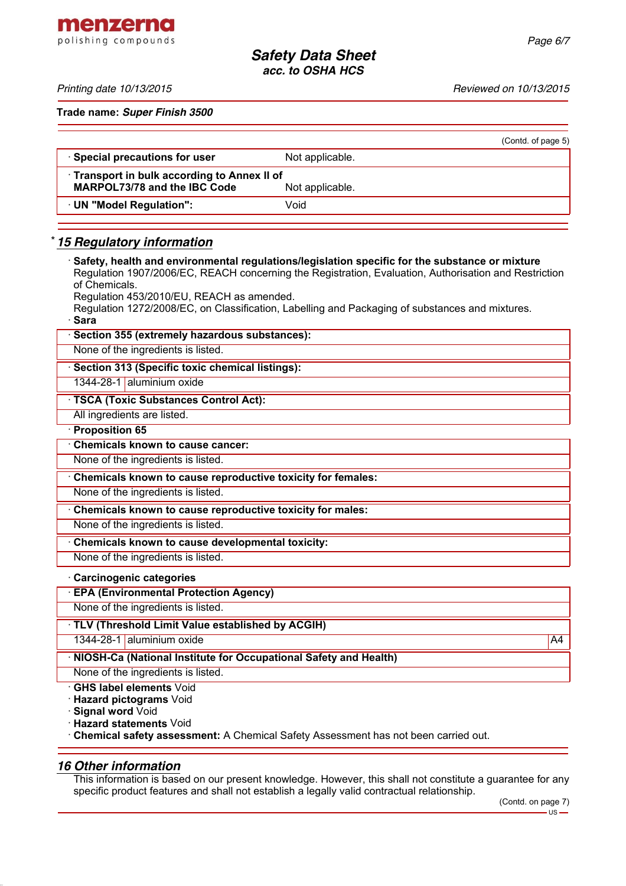menzerna polishing compounds

*Printing date 10/13/2015 Reviewed on 10/13/2015*

**Trade name:** *Super Finish 3500*

|                                                                                     |                 | (Contd. of page 5) |
|-------------------------------------------------------------------------------------|-----------------|--------------------|
| · Special precautions for user                                                      | Not applicable. |                    |
| • Transport in bulk according to Annex II of<br><b>MARPOL73/78 and the IBC Code</b> | Not applicable. |                    |
| UN "Model Regulation":                                                              | Void            |                    |
|                                                                                     |                 |                    |

## \* *15 Regulatory information*

| Safety, health and environmental regulations/legislation specific for the substance or mixture<br>Regulation 1907/2006/EC, REACH concerning the Registration, Evaluation, Authorisation and Restriction |    |
|---------------------------------------------------------------------------------------------------------------------------------------------------------------------------------------------------------|----|
| of Chemicals.                                                                                                                                                                                           |    |
| Regulation 453/2010/EU, REACH as amended.<br>Regulation 1272/2008/EC, on Classification, Labelling and Packaging of substances and mixtures.                                                            |    |
| · Sara                                                                                                                                                                                                  |    |
| Section 355 (extremely hazardous substances):                                                                                                                                                           |    |
| None of the ingredients is listed.                                                                                                                                                                      |    |
| · Section 313 (Specific toxic chemical listings):                                                                                                                                                       |    |
| 1344-28-1 aluminium oxide                                                                                                                                                                               |    |
| · TSCA (Toxic Substances Control Act):                                                                                                                                                                  |    |
| All ingredients are listed.                                                                                                                                                                             |    |
| · Proposition 65                                                                                                                                                                                        |    |
| <b>Chemicals known to cause cancer:</b>                                                                                                                                                                 |    |
| None of the ingredients is listed.                                                                                                                                                                      |    |
| Chemicals known to cause reproductive toxicity for females:                                                                                                                                             |    |
| None of the ingredients is listed.                                                                                                                                                                      |    |
| Chemicals known to cause reproductive toxicity for males:                                                                                                                                               |    |
| None of the ingredients is listed.                                                                                                                                                                      |    |
| Chemicals known to cause developmental toxicity:                                                                                                                                                        |    |
| None of the ingredients is listed.                                                                                                                                                                      |    |
| Carcinogenic categories                                                                                                                                                                                 |    |
| <b>EPA (Environmental Protection Agency)</b>                                                                                                                                                            |    |
| None of the ingredients is listed.                                                                                                                                                                      |    |
| TLV (Threshold Limit Value established by ACGIH)                                                                                                                                                        |    |
| 1344-28-1 aluminium oxide                                                                                                                                                                               | A4 |
| · NIOSH-Ca (National Institute for Occupational Safety and Health)                                                                                                                                      |    |

None of the ingredients is listed.

· **GHS label elements** Void

· **Hazard pictograms** Void

· **Signal word** Void

· **Hazard statements** Void

· **Chemical safety assessment:** A Chemical Safety Assessment has not been carried out.

# *16 Other information*

This information is based on our present knowledge. However, this shall not constitute a guarantee for any specific product features and shall not establish a legally valid contractual relationship.